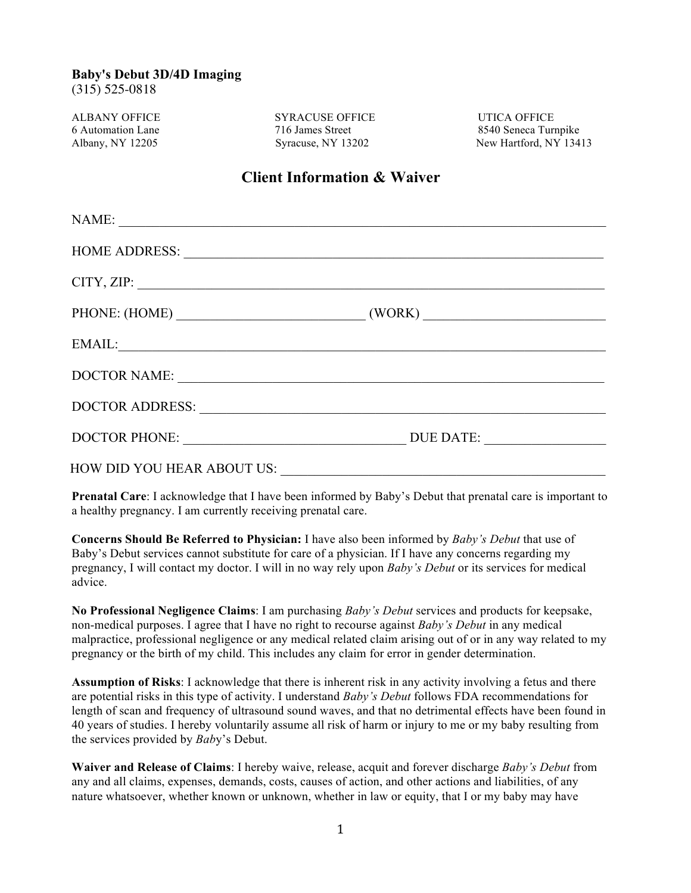(315) 525-0818

ALBANY OFFICE SYRACUSE OFFICE UTICA OFFICE 6 Automation Lane 716 James Street 8540 Seneca Turnpike

Albany, NY 12205 Syracuse, NY 13202 New Hartford, NY 13413

## **Client Information & Waiver**

| NAME:                                                                                                                                                                                                                          |  |
|--------------------------------------------------------------------------------------------------------------------------------------------------------------------------------------------------------------------------------|--|
|                                                                                                                                                                                                                                |  |
| CITY, ZIP:                                                                                                                                                                                                                     |  |
| PHONE: (HOME) (WORK)                                                                                                                                                                                                           |  |
| EMAIL:                                                                                                                                                                                                                         |  |
| DOCTOR NAME:                                                                                                                                                                                                                   |  |
|                                                                                                                                                                                                                                |  |
|                                                                                                                                                                                                                                |  |
| HOW DID YOU HEAR ABOUT US: POWER AND THE SERVICE SERVICE SERVICE SERVICE SERVICE SERVICE SERVICE SERVICE SERVICE SERVICE SERVICE SERVICE SERVICE SERVICE SERVICE SERVICE SERVICE SERVICE SERVICE SERVICE SERVICE SERVICE SERVI |  |

**Prenatal Care**: I acknowledge that I have been informed by Baby's Debut that prenatal care is important to a healthy pregnancy. I am currently receiving prenatal care.

**Concerns Should Be Referred to Physician:** I have also been informed by *Baby's Debut* that use of Baby's Debut services cannot substitute for care of a physician. If I have any concerns regarding my pregnancy, I will contact my doctor. I will in no way rely upon *Baby's Debut* or its services for medical advice.

**No Professional Negligence Claims**: I am purchasing *Baby's Debut* services and products for keepsake, non-medical purposes. I agree that I have no right to recourse against *Baby's Debut* in any medical malpractice, professional negligence or any medical related claim arising out of or in any way related to my pregnancy or the birth of my child. This includes any claim for error in gender determination.

**Assumption of Risks**: I acknowledge that there is inherent risk in any activity involving a fetus and there are potential risks in this type of activity. I understand *Baby's Debut* follows FDA recommendations for length of scan and frequency of ultrasound sound waves, and that no detrimental effects have been found in 40 years of studies. I hereby voluntarily assume all risk of harm or injury to me or my baby resulting from the services provided by *Bab*y's Debut.

**Waiver and Release of Claims**: I hereby waive, release, acquit and forever discharge *Baby's Debut* from any and all claims, expenses, demands, costs, causes of action, and other actions and liabilities, of any nature whatsoever, whether known or unknown, whether in law or equity, that I or my baby may have